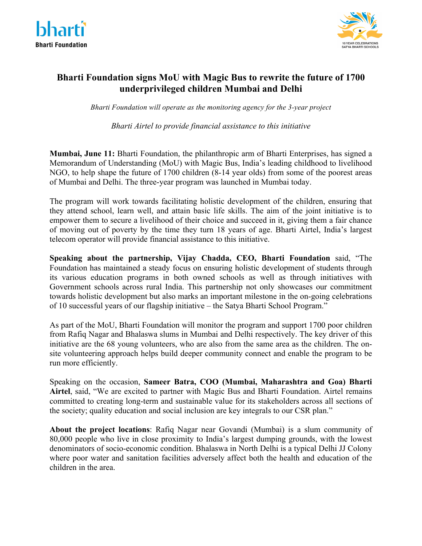



# **Bharti Foundation signs MoU with Magic Bus to rewrite the future of 1700 underprivileged children Mumbai and Delhi**

*Bharti Foundation will operate as the monitoring agency for the 3-year project* 

*Bharti Airtel to provide financial assistance to this initiative*

**Mumbai, June 11:** Bharti Foundation, the philanthropic arm of Bharti Enterprises, has signed a Memorandum of Understanding (MoU) with Magic Bus, India's leading childhood to livelihood NGO, to help shape the future of 1700 children (8-14 year olds) from some of the poorest areas of Mumbai and Delhi. The three-year program was launched in Mumbai today.

The program will work towards facilitating holistic development of the children, ensuring that they attend school, learn well, and attain basic life skills. The aim of the joint initiative is to empower them to secure a livelihood of their choice and succeed in it, giving them a fair chance of moving out of poverty by the time they turn 18 years of age. Bharti Airtel, India's largest telecom operator will provide financial assistance to this initiative.

**Speaking about the partnership, Vijay Chadda, CEO, Bharti Foundation** said, "The Foundation has maintained a steady focus on ensuring holistic development of students through its various education programs in both owned schools as well as through initiatives with Government schools across rural India. This partnership not only showcases our commitment towards holistic development but also marks an important milestone in the on-going celebrations of 10 successful years of our flagship initiative – the Satya Bharti School Program."

As part of the MoU, Bharti Foundation will monitor the program and support 1700 poor children from Rafiq Nagar and Bhalaswa slums in Mumbai and Delhi respectively. The key driver of this initiative are the 68 young volunteers, who are also from the same area as the children. The onsite volunteering approach helps build deeper community connect and enable the program to be run more efficiently.

Speaking on the occasion, **Sameer Batra, COO (Mumbai, Maharashtra and Goa) Bharti Airtel**, said, "We are excited to partner with Magic Bus and Bharti Foundation. Airtel remains committed to creating long-term and sustainable value for its stakeholders across all sections of the society; quality education and social inclusion are key integrals to our CSR plan."

**About the project locations**: Rafiq Nagar near Govandi (Mumbai) is a slum community of 80,000 people who live in close proximity to India's largest dumping grounds, with the lowest denominators of socio-economic condition. Bhalaswa in North Delhi is a typical Delhi JJ Colony where poor water and sanitation facilities adversely affect both the health and education of the children in the area.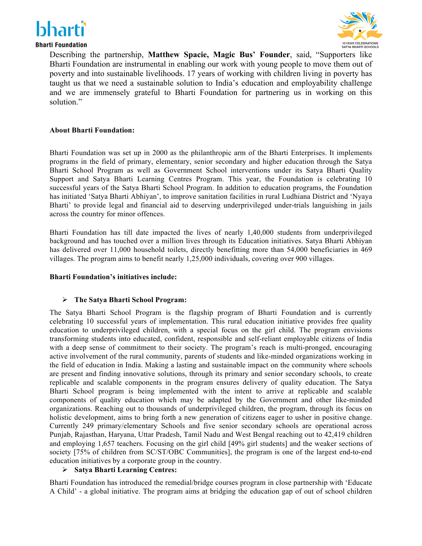



**Bharti Foundation** 

Describing the partnership, **Matthew Spacie, Magic Bus' Founder**, said, "Supporters like Bharti Foundation are instrumental in enabling our work with young people to move them out of poverty and into sustainable livelihoods. 17 years of working with children living in poverty has taught us that we need a sustainable solution to India's education and employability challenge and we are immensely grateful to Bharti Foundation for partnering us in working on this solution."

### **About Bharti Foundation:**

Bharti Foundation was set up in 2000 as the philanthropic arm of the Bharti Enterprises. It implements programs in the field of primary, elementary, senior secondary and higher education through the Satya Bharti School Program as well as Government School interventions under its Satya Bharti Quality Support and Satya Bharti Learning Centres Program. This year, the Foundation is celebrating 10 successful years of the Satya Bharti School Program. In addition to education programs, the Foundation has initiated 'Satya Bharti Abhiyan', to improve sanitation facilities in rural Ludhiana District and 'Nyaya Bharti' to provide legal and financial aid to deserving underprivileged under-trials languishing in jails across the country for minor offences.

Bharti Foundation has till date impacted the lives of nearly 1,40,000 students from underprivileged background and has touched over a million lives through its Education initiatives. Satya Bharti Abhiyan has delivered over 11,000 household toilets, directly benefitting more than 54,000 beneficiaries in 469 villages. The program aims to benefit nearly 1,25,000 individuals, covering over 900 villages.

### **Bharti Foundation's initiatives include:**

### Ø **The Satya Bharti School Program:**

The Satya Bharti School Program is the flagship program of Bharti Foundation and is currently celebrating 10 successful years of implementation. This rural education initiative provides free quality education to underprivileged children, with a special focus on the girl child. The program envisions transforming students into educated, confident, responsible and self-reliant employable citizens of India with a deep sense of commitment to their society. The program's reach is multi-pronged, encouraging active involvement of the rural community, parents of students and like-minded organizations working in the field of education in India. Making a lasting and sustainable impact on the community where schools are present and finding innovative solutions, through its primary and senior secondary schools, to create replicable and scalable components in the program ensures delivery of quality education. The Satya Bharti School program is being implemented with the intent to arrive at replicable and scalable components of quality education which may be adapted by the Government and other like-minded organizations. Reaching out to thousands of underprivileged children, the program, through its focus on holistic development, aims to bring forth a new generation of citizens eager to usher in positive change. Currently 249 primary/elementary Schools and five senior secondary schools are operational across Punjab, Rajasthan, Haryana, Uttar Pradesh, Tamil Nadu and West Bengal reaching out to 42,419 children and employing 1,657 teachers. Focusing on the girl child [49% girl students] and the weaker sections of society [75% of children from SC/ST/OBC Communities], the program is one of the largest end-to-end education initiatives by a corporate group in the country.

## Ø **Satya Bharti Learning Centres:**

Bharti Foundation has introduced the remedial/bridge courses program in close partnership with 'Educate A Child' - a global initiative. The program aims at bridging the education gap of out of school children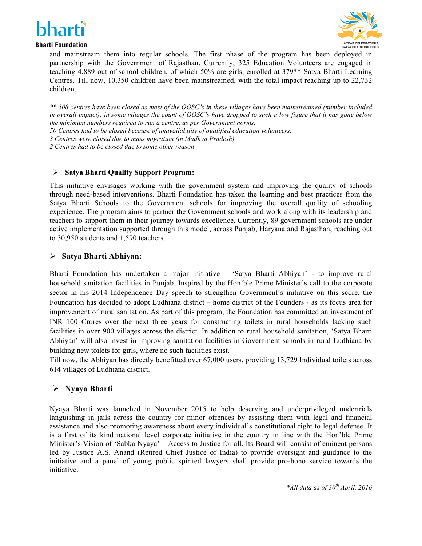



**Bharti Foundation** 

and mainstream them into regular schools. The first phase of the program has been deployed in partnership with the Government of Rajasthan. Currently, 325 Education Volunteers are engaged in teaching 4,889 out of school children, of which 50% are girls, enrolled at 379\*\* Satya Bharti Learning Centres. Till now, 10,350 children have been mainstreamed, with the total impact reaching up to 22,732 children.

*\*\* 508 centres have been closed as most of the OOSC's in these villages have been mainstreamed (number included in overall impact); in some villages the count of OOSC's have dropped to such a low figure that it has gone below the minimum numbers required to run a centre, as per Government norms.* 

*50 Centres had to be closed because of unavailability of qualified education volunteers.* 

*3 Centres were closed due to mass migration (in Madhya Pradesh).*

*2 Centres had to be closed due to some other reason*

### Ø **Satya Bharti Quality Support Program:**

This initiative envisages working with the government system and improving the quality of schools through need-based interventions. Bharti Foundation has taken the learning and best practices from the Satya Bharti Schools to the Government schools for improving the overall quality of schooling experience. The program aims to partner the Government schools and work along with its leadership and teachers to support them in their journey towards excellence. Currently, 89 government schools are under active implementation supported through this model, across Punjab, Haryana and Rajasthan, reaching out to 30,950 students and 1,590 teachers.

## Ø **Satya Bharti Abhiyan:**

Bharti Foundation has undertaken a major initiative – 'Satya Bharti Abhiyan' - to improve rural household sanitation facilities in Punjab. Inspired by the Hon'ble Prime Minister's call to the corporate sector in his 2014 Independence Day speech to strengthen Government's initiative on this score, the Foundation has decided to adopt Ludhiana district – home district of the Founders - as its focus area for improvement of rural sanitation. As part of this program, the Foundation has committed an investment of INR 100 Crores over the next three years for constructing toilets in rural households lacking such facilities in over 900 villages across the district. In addition to rural household sanitation, 'Satya Bharti Abhiyan' will also invest in improving sanitation facilities in Government schools in rural Ludhiana by building new toilets for girls, where no such facilities exist.

Till now, the Abhiyan has directly benefitted over 67,000 users, providing 13,729 Individual toilets across 614 villages of Ludhiana district.

## Ø **Nyaya Bharti**

Nyaya Bharti was launched in November 2015 to help deserving and underprivileged undertrials languishing in jails across the country for minor offences by assisting them with legal and financial assistance and also promoting awareness about every individual's constitutional right to legal defense. It is a first of its kind national level corporate initiative in the country in line with the Hon'ble Prime Minister's Vision of 'Sabka Nyaya' – Access to Justice for all. Its Board will consist of eminent persons led by Justice A.S. Anand (Retired Chief Justice of India) to provide oversight and guidance to the initiative and a panel of young public spirited lawyers shall provide pro-bono service towards the initiative.

*\*All data as of 30th April, 2016*